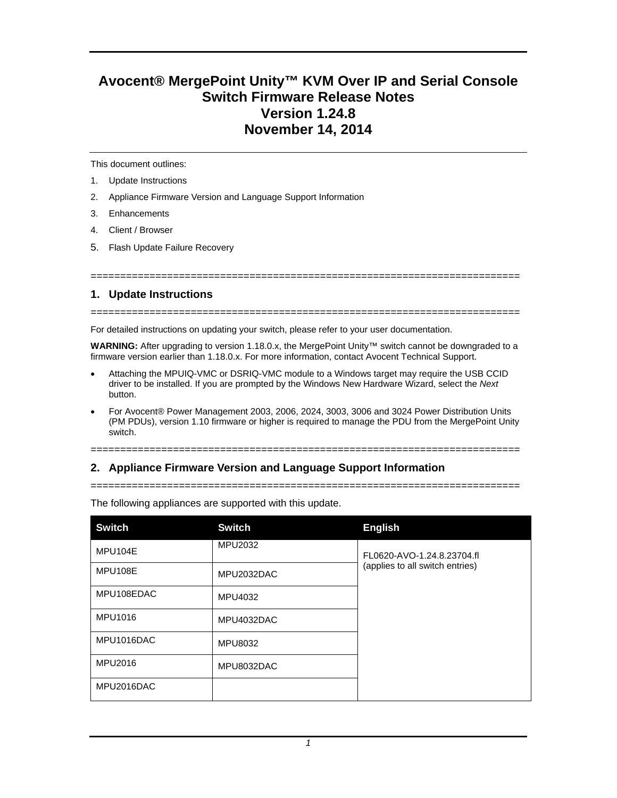# **Avocent® MergePoint Unity™ KVM Over IP and Serial Console Switch Firmware Release Notes Version 1.24.8 November 14, 2014**

This document outlines:

- 1. Update Instructions
- 2. Appliance Firmware Version and Language Support Information
- 3. Enhancements
- 4. Client / Browser
- 5. Flash Update Failure Recovery

#### =========================================================================

#### **1. Update Instructions**

=========================================================================

For detailed instructions on updating your switch, please refer to your user documentation.

**WARNING:** After upgrading to version 1.18.0.x, the MergePoint Unity™ switch cannot be downgraded to a firmware version earlier than 1.18.0.x. For more information, contact Avocent Technical Support.

- Attaching the MPUIQ-VMC or DSRIQ-VMC module to a Windows target may require the USB CCID driver to be installed. If you are prompted by the Windows New Hardware Wizard, select the *Next* button.
- For Avocent® Power Management 2003, 2006, 2024, 3003, 3006 and 3024 Power Distribution Units (PM PDUs), version 1.10 firmware or higher is required to manage the PDU from the MergePoint Unity switch.

#### =========================================================================

## **2. Appliance Firmware Version and Language Support Information**

=========================================================================

| <b>Switch</b>  | <b>Switch</b>  | <b>English</b>                                                |
|----------------|----------------|---------------------------------------------------------------|
| MPU104E        | MPU2032        | FL0620-AVO-1.24.8.23704.fl<br>(applies to all switch entries) |
| MPU108E        | MPU2032DAC     |                                                               |
| MPU108EDAC     | MPU4032        |                                                               |
| MPU1016        | MPU4032DAC     |                                                               |
| MPU1016DAC     | <b>MPU8032</b> |                                                               |
| <b>MPU2016</b> | MPU8032DAC     |                                                               |
| MPU2016DAC     |                |                                                               |

The following appliances are supported with this update.